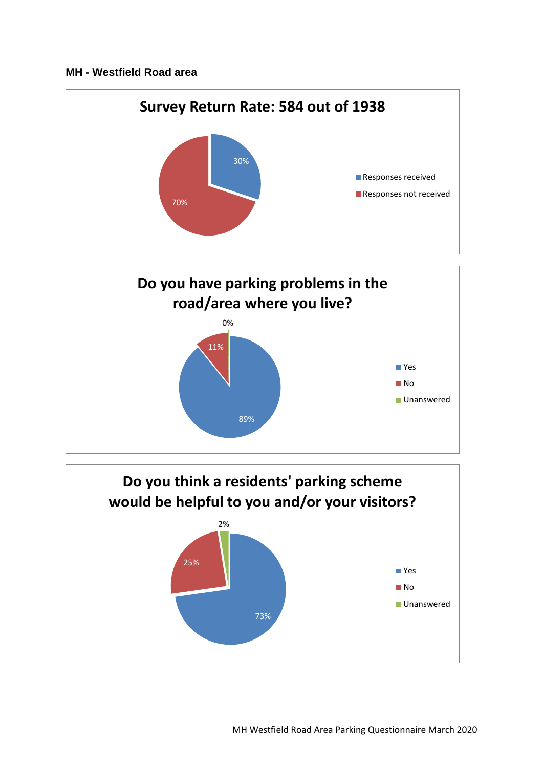## **MH - Westfield Road area**





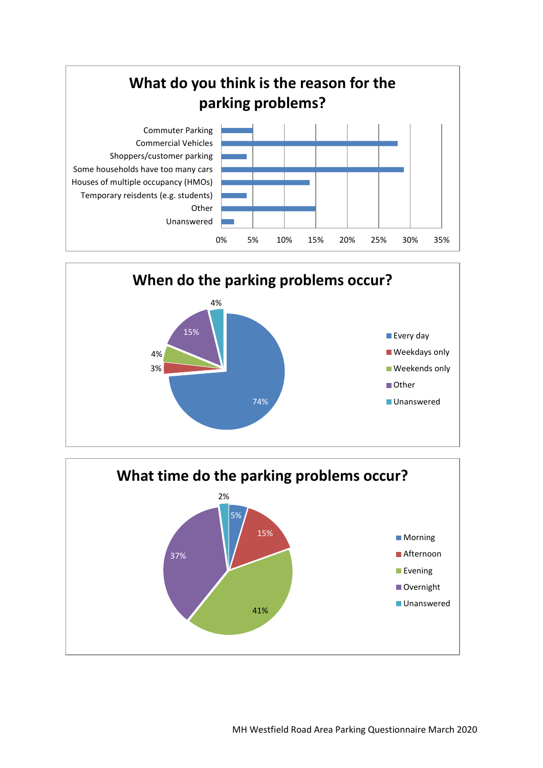



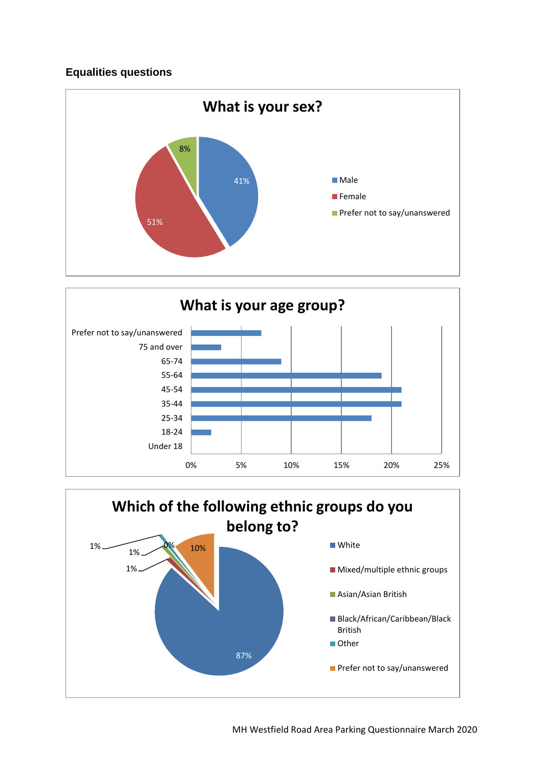## **Equalities questions**





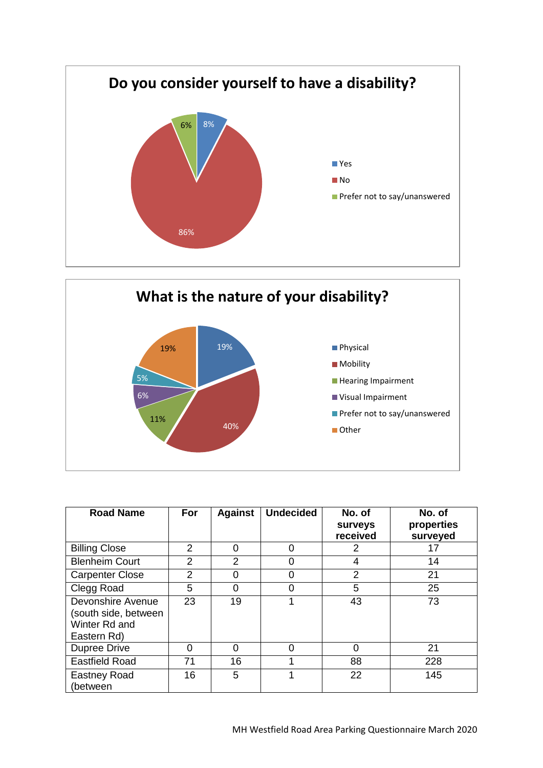



| <b>Road Name</b>                                                          | For            | <b>Against</b> | <b>Undecided</b> | No. of<br><b>Surveys</b><br>received | No. of<br>properties<br>surveyed |
|---------------------------------------------------------------------------|----------------|----------------|------------------|--------------------------------------|----------------------------------|
| <b>Billing Close</b>                                                      | 2              | 0              | ი                | 2                                    | 17                               |
| <b>Blenheim Court</b>                                                     | 2              | $\overline{2}$ | 0                | 4                                    | 14                               |
| <b>Carpenter Close</b>                                                    | $\overline{2}$ | 0              |                  | 2                                    | 21                               |
| Clegg Road                                                                | 5              | $\Omega$       | 0                | 5                                    | 25                               |
| Devonshire Avenue<br>(south side, between<br>Winter Rd and<br>Eastern Rd) | 23             | 19             |                  | 43                                   | 73                               |
| <b>Dupree Drive</b>                                                       | $\Omega$       | $\Omega$       | 0                | $\Omega$                             | 21                               |
| <b>Eastfield Road</b>                                                     | 71             | 16             |                  | 88                                   | 228                              |
| <b>Eastney Road</b><br>(between                                           | 16             | 5              |                  | 22                                   | 145                              |